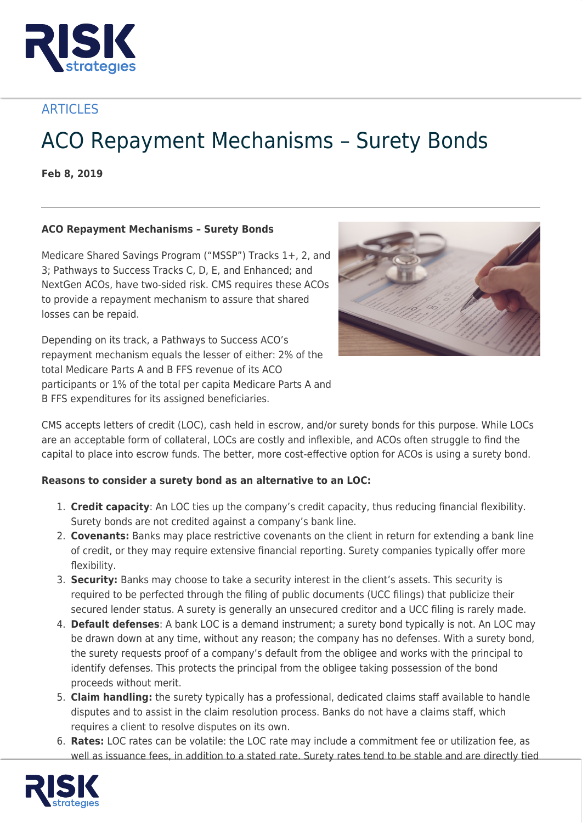

**ARTICLES** 

## ACO Repayment Mechanisms – Surety Bonds

**Feb 8, 2019**

## **ACO Repayment Mechanisms – Surety Bonds**

Medicare Shared Savings Program ("MSSP") Tracks 1+, 2, and 3; Pathways to Success Tracks C, D, E, and Enhanced; and NextGen ACOs, have two-sided risk. CMS requires these ACOs to provide a repayment mechanism to assure that shared losses can be repaid.

Depending on its track, a Pathways to Success ACO's repayment mechanism equals the lesser of either: 2% of the total Medicare Parts A and B FFS revenue of its ACO participants or 1% of the total per capita Medicare Parts A and B FFS expenditures for its assigned beneficiaries.



CMS accepts letters of credit (LOC), cash held in escrow, and/or surety bonds for this purpose. While LOCs are an acceptable form of collateral, LOCs are costly and inflexible, and ACOs often struggle to find the capital to place into escrow funds. The better, more cost-effective option for ACOs is using a surety bond.

## **Reasons to consider a surety bond as an alternative to an LOC:**

- 1. **Credit capacity**: An LOC ties up the company's credit capacity, thus reducing financial flexibility. Surety bonds are not credited against a company's bank line.
- 2. **Covenants:** Banks may place restrictive covenants on the client in return for extending a bank line of credit, or they may require extensive financial reporting. Surety companies typically offer more flexibility.
- 3. **Security:** Banks may choose to take a security interest in the client's assets. This security is required to be perfected through the filing of public documents (UCC filings) that publicize their secured lender status. A surety is generally an unsecured creditor and a UCC filing is rarely made.
- 4. **Default defenses**: A bank LOC is a demand instrument; a surety bond typically is not. An LOC may be drawn down at any time, without any reason; the company has no defenses. With a surety bond, the surety requests proof of a company's default from the obligee and works with the principal to identify defenses. This protects the principal from the obligee taking possession of the bond proceeds without merit.
- 5. **Claim handling:** the surety typically has a professional, dedicated claims staff available to handle disputes and to assist in the claim resolution process. Banks do not have a claims staff, which requires a client to resolve disputes on its own.
- 6. **Rates:** LOC rates can be volatile: the LOC rate may include a commitment fee or utilization fee, as well as issuance fees, in addition to a stated rate. Surety rates tend to be stable and are directly tied